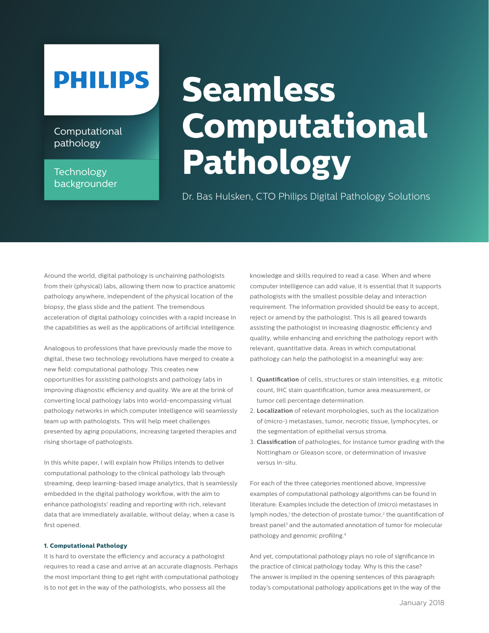## **PHILIPS**

**Computational** pathology

### **Technology** backgrounder

# **Seamless Computational Pathology**

Dr. Bas Hulsken, CTO Philips Digital Pathology Solutions

Around the world, digital pathology is unchaining pathologists from their (physical) labs, allowing them now to practice anatomic pathology anywhere, independent of the physical location of the biopsy, the glass slide and the patient. The tremendous acceleration of digital pathology coincides with a rapid increase in the capabilities as well as the applications of artificial intelligence.

Analogous to professions that have previously made the move to digital, these two technology revolutions have merged to create a new field: computational pathology. This creates new opportunities for assisting pathologists and pathology labs in improving diagnostic efficiency and quality. We are at the brink of converting local pathology labs into world-encompassing virtual pathology networks in which computer intelligence will seamlessly team up with pathologists. This will help meet challenges presented by aging populations, increasing targeted therapies and rising shortage of pathologists.

In this white paper, I will explain how Philips intends to deliver computational pathology to the clinical pathology lab through streaming, deep learning-based image analytics, that is seamlessly embedded in the digital pathology workflow, with the aim to enhance pathologists' reading and reporting with rich, relevant data that are immediately available, without delay, when a case is first opened.

#### **1. Computational Pathology**

It is hard to overstate the efficiency and accuracy a pathologist requires to read a case and arrive at an accurate diagnosis. Perhaps the most important thing to get right with computational pathology is to not get in the way of the pathologists, who possess all the

knowledge and skills required to read a case. When and where computer intelligence can add value, it is essential that it supports pathologists with the smallest possible delay and interaction requirement. The information provided should be easy to accept, reject or amend by the pathologist. This is all geared towards assisting the pathologist in increasing diagnostic efficiency and quality, while enhancing and enriching the pathology report with relevant, quantitative data. Areas in which computational pathology can help the pathologist in a meaningful way are:

- 1. **Quantification** of cells, structures or stain intensities, e.g. mitotic count, IHC stain quantification, tumor area measurement, or tumor cell percentage determination.
- 2. **Localization** of relevant morphologies, such as the localization of (micro-) metastases, tumor, necrotic tissue, lymphocytes, or the segmentation of epithelial versus stroma.
- 3. **Classification** of pathologies, for instance tumor grading with the Nottingham or Gleason score, or determination of invasive versus in-situ.

For each of the three categories mentioned above, impressive examples of computational pathology algorithms can be found in literature. Examples include the detection of (micro) metastases in lymph nodes,<sup>1</sup> the detection of prostate tumor,<sup>2</sup> the quantification of breast panel<sup>3</sup> and the automated annotation of tumor for molecular pathology and genomic profiling.4

And yet, computational pathology plays no role of significance in the practice of clinical pathology today. Why is this the case? The answer is implied in the opening sentences of this paragraph: today's computational pathology applications get in the way of the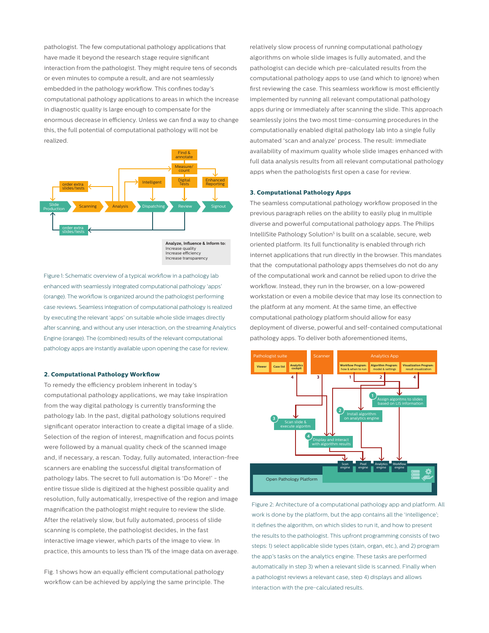pathologist. The few computational pathology applications that have made it beyond the research stage require significant interaction from the pathologist. They might require tens of seconds or even minutes to compute a result, and are not seamlessly embedded in the pathology workflow. This confines today's computational pathology applications to areas in which the increase in diagnostic quality is large enough to compensate for the enormous decrease in efficiency. Unless we can find a way to change this, the full potential of computational pathology will not be realized.



Figure 1: Schematic overview of a typical workflow in a pathology lab enhanced with seamlessly integrated computational pathology 'apps' (orange). The workflow is organized around the pathologist performing case reviews. Seamless integration of computational pathology is realized by executing the relevant 'apps' on suitable whole slide images directly after scanning, and without any user interaction, on the streaming Analytics Engine (orange). The (combined) results of the relevant computational pathology apps are instantly available upon opening the case for review.

#### **2. Computational Pathology Workflow**

To remedy the efficiency problem inherent in today's computational pathology applications, we may take inspiration from the way digital pathology is currently transforming the pathology lab. In the past, digital pathology solutions required significant operator interaction to create a digital image of a slide. Selection of the region of interest, magnification and focus points were followed by a manual quality check of the scanned image and, if necessary, a rescan. Today, fully automated, interaction-free scanners are enabling the successful digital transformation of pathology labs. The secret to full automation is 'Do More!' - the entire tissue slide is digitized at the highest possible quality and resolution, fully automatically, irrespective of the region and image magnification the pathologist might require to review the slide. After the relatively slow, but fully automated, process of slide scanning is complete, the pathologist decides, in the fast interactive image viewer, which parts of the image to view. In practice, this amounts to less than 1% of the image data on average.

Fig. 1 shows how an equally efficient computational pathology workflow can be achieved by applying the same principle. The relatively slow process of running computational pathology algorithms on whole slide images is fully automated, and the pathologist can decide which pre-calculated results from the computational pathology apps to use (and which to ignore) when first reviewing the case. This seamless workflow is most efficiently implemented by running all relevant computational pathology apps during or immediately after scanning the slide. This approach seamlessly joins the two most time-consuming procedures in the computationally enabled digital pathology lab into a single fully automated 'scan and analyze' process. The result: immediate availability of maximum quality whole slide images enhanced with full data analysis results from all relevant computational pathology apps when the pathologists first open a case for review.

#### **3. Computational Pathology Apps**

The seamless computational pathology workflow proposed in the previous paragraph relies on the ability to easily plug in multiple diverse and powerful computational pathology apps. The Philips IntelliSite Pathology Solution<sup>5</sup> is built on a scalable, secure, web oriented platform. Its full functionality is enabled through rich internet applications that run directly in the browser. This mandates that the computational pathology apps themselves do not do any of the computational work and cannot be relied upon to drive the workflow. Instead, they run in the browser, on a low-powered workstation or even a mobile device that may lose its connection to the platform at any moment. At the same time, an effective computational pathology platform should allow for easy deployment of diverse, powerful and self-contained computational pathology apps. To deliver both aforementioned items,



Figure 2: Architecture of a computational pathology app and platform. All work is done by the platform, but the app contains all the 'intelligence'; it defines the algorithm, on which slides to run it, and how to present the results to the pathologist. This upfront programming consists of two steps: 1) select applicable slide types (stain, organ, etc.), and 2) program the app's tasks on the analytics engine. These tasks are performed automatically in step 3) when a relevant slide is scanned. Finally when a pathologist reviews a relevant case, step 4) displays and allows interaction with the pre-calculated results.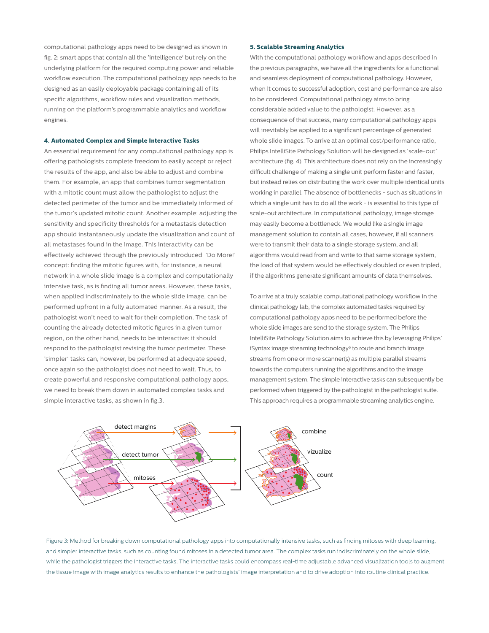computational pathology apps need to be designed as shown in fig. 2: smart apps that contain all the 'intelligence' but rely on the underlying platform for the required computing power and reliable workflow execution. The computational pathology app needs to be designed as an easily deployable package containing all of its specific algorithms, workflow rules and visualization methods, running on the platform's programmable analytics and workflow engines.

#### **4. Automated Complex and Simple Interactive Tasks**

An essential requirement for any computational pathology app is offering pathologists complete freedom to easily accept or reject the results of the app, and also be able to adjust and combine them. For example, an app that combines tumor segmentation with a mitotic count must allow the pathologist to adjust the detected perimeter of the tumor and be immediately informed of the tumor's updated mitotic count. Another example: adjusting the sensitivity and specificity thresholds for a metastasis detection app should instantaneously update the visualization and count of all metastases found in the image. This interactivity can be effectively achieved through the previously introduced 'Do More!' concept: finding the mitotic figures with, for instance, a neural network in a whole slide image is a complex and computationally intensive task, as is finding all tumor areas. However, these tasks, when applied indiscriminately to the whole slide image, can be performed upfront in a fully automated manner. As a result, the pathologist won't need to wait for their completion. The task of counting the already detected mitotic figures in a given tumor region, on the other hand, needs to be interactive: it should respond to the pathologist revising the tumor perimeter. These 'simpler' tasks can, however, be performed at adequate speed, once again so the pathologist does not need to wait. Thus, to create powerful and responsive computational pathology apps, we need to break them down in automated complex tasks and simple interactive tasks, as shown in fig.3.

#### **5. Scalable Streaming Analytics**

With the computational pathology workflow and apps described in the previous paragraphs, we have all the ingredients for a functional and seamless deployment of computational pathology. However, when it comes to successful adoption, cost and performance are also to be considered. Computational pathology aims to bring considerable added value to the pathologist. However, as a consequence of that success, many computational pathology apps will inevitably be applied to a significant percentage of generated whole slide images. To arrive at an optimal cost/performance ratio, Philips IntelliSite Pathology Solution will be designed as 'scale-out' architecture (fig. 4). This architecture does not rely on the increasingly difficult challenge of making a single unit perform faster and faster, but instead relies on distributing the work over multiple identical units working in parallel. The absence of bottlenecks - such as situations in which a single unit has to do all the work - is essential to this type of scale-out architecture. In computational pathology, image storage may easily become a bottleneck. We would like a single image management solution to contain all cases, however, if all scanners were to transmit their data to a single storage system, and all algorithms would read from and write to that same storage system, the load of that system would be effectively doubled or even tripled, if the algorithms generate significant amounts of data themselves.

To arrive at a truly scalable computational pathology workflow in the clinical pathology lab, the complex automated tasks required by computational pathology apps need to be performed before the whole slide images are send to the storage system. The Philips IntelliSite Pathology Solution aims to achieve this by leveraging Philips' iSyntax image streaming technology<sup>6</sup> to route and branch image streams from one or more scanner(s) as multiple parallel streams towards the computers running the algorithms and to the image management system. The simple interactive tasks can subsequently be performed when triggered by the pathologist in the pathologist suite. This approach requires a programmable streaming analytics engine.



Figure 3: Method for breaking down computational pathology apps into computationally intensive tasks, such as finding mitoses with deep learning, and simpler interactive tasks, such as counting found mitoses in a detected tumor area. The complex tasks run indiscriminately on the whole slide, while the pathologist triggers the interactive tasks. The interactive tasks could encompass real-time adjustable advanced visualization tools to augment the tissue image with image analytics results to enhance the pathologists' image interpretation and to drive adoption into routine clinical practice.